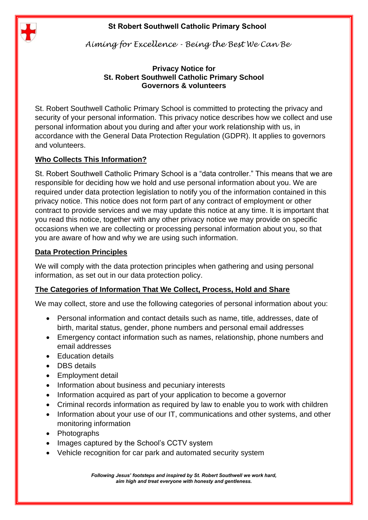

*Aiming for Excellence - Being the Best We Can Be*

#### **Privacy Notice for St. Robert Southwell Catholic Primary School Governors & volunteers**

St. Robert Southwell Catholic Primary School is committed to protecting the privacy and security of your personal information. This privacy notice describes how we collect and use personal information about you during and after your work relationship with us, in accordance with the General Data Protection Regulation (GDPR). It applies to governors and volunteers.

# **Who Collects This Information?**

St. Robert Southwell Catholic Primary School is a "data controller." This means that we are responsible for deciding how we hold and use personal information about you. We are required under data protection legislation to notify you of the information contained in this privacy notice. This notice does not form part of any contract of employment or other contract to provide services and we may update this notice at any time. It is important that you read this notice, together with any other privacy notice we may provide on specific occasions when we are collecting or processing personal information about you, so that you are aware of how and why we are using such information.

### **Data Protection Principles**

We will comply with the data protection principles when gathering and using personal information, as set out in our data protection policy.

# **The Categories of Information That We Collect, Process, Hold and Share**

We may collect, store and use the following categories of personal information about you:

- Personal information and contact details such as name, title, addresses, date of birth, marital status, gender, phone numbers and personal email addresses
- Emergency contact information such as names, relationship, phone numbers and email addresses
- Education details
- DBS details
- Employment detail
- Information about business and pecuniary interests
- Information acquired as part of your application to become a governor
- Criminal records information as required by law to enable you to work with children
- Information about your use of our IT, communications and other systems, and other monitoring information
- Photographs
- Images captured by the School's CCTV system
- Vehicle recognition for car park and automated security system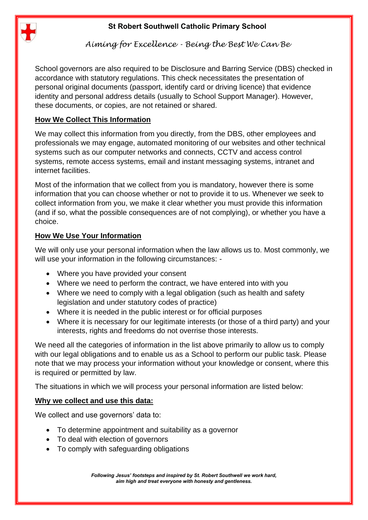

*Aiming for Excellence - Being the Best We Can Be*

School governors are also required to be Disclosure and Barring Service (DBS) checked in accordance with statutory regulations. This check necessitates the presentation of personal original documents (passport, identify card or driving licence) that evidence identity and personal address details (usually to School Support Manager). However, these documents, or copies, are not retained or shared.

## **How We Collect This Information**

We may collect this information from you directly, from the DBS, other employees and professionals we may engage, automated monitoring of our websites and other technical systems such as our computer networks and connects, CCTV and access control systems, remote access systems, email and instant messaging systems, intranet and internet facilities.

Most of the information that we collect from you is mandatory, however there is some information that you can choose whether or not to provide it to us. Whenever we seek to collect information from you, we make it clear whether you must provide this information (and if so, what the possible consequences are of not complying), or whether you have a choice.

## **How We Use Your Information**

We will only use your personal information when the law allows us to. Most commonly, we will use your information in the following circumstances: -

- Where you have provided your consent
- Where we need to perform the contract, we have entered into with you
- Where we need to comply with a legal obligation (such as health and safety legislation and under statutory codes of practice)
- Where it is needed in the public interest or for official purposes
- Where it is necessary for our legitimate interests (or those of a third party) and your interests, rights and freedoms do not overrise those interests.

We need all the categories of information in the list above primarily to allow us to comply with our legal obligations and to enable us as a School to perform our public task. Please note that we may process your information without your knowledge or consent, where this is required or permitted by law.

The situations in which we will process your personal information are listed below:

# **Why we collect and use this data:**

We collect and use governors' data to:

- To determine appointment and suitability as a governor
- To deal with election of governors
- To comply with safeguarding obligations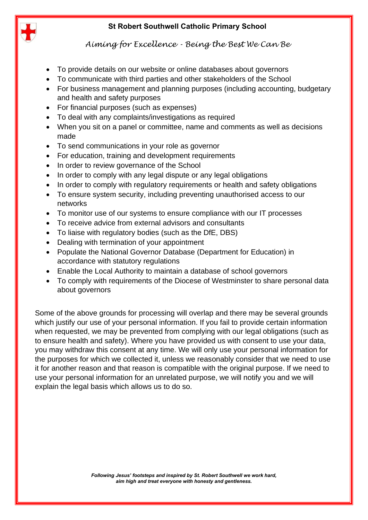

*Aiming for Excellence - Being the Best We Can Be*

- To provide details on our website or online databases about governors
- To communicate with third parties and other stakeholders of the School
- For business management and planning purposes (including accounting, budgetary and health and safety purposes
- For financial purposes (such as expenses)
- To deal with any complaints/investigations as required
- When you sit on a panel or committee, name and comments as well as decisions made
- To send communications in your role as governor
- For education, training and development requirements
- In order to review governance of the School
- In order to comply with any legal dispute or any legal obligations
- In order to comply with regulatory requirements or health and safety obligations
- To ensure system security, including preventing unauthorised access to our networks
- To monitor use of our systems to ensure compliance with our IT processes
- To receive advice from external advisors and consultants
- To liaise with regulatory bodies (such as the DfE, DBS)
- Dealing with termination of your appointment
- Populate the National Governor Database (Department for Education) in accordance with statutory regulations
- Enable the Local Authority to maintain a database of school governors
- To comply with requirements of the Diocese of Westminster to share personal data about governors

Some of the above grounds for processing will overlap and there may be several grounds which justify our use of your personal information. If you fail to provide certain information when requested, we may be prevented from complying with our legal obligations (such as to ensure health and safety). Where you have provided us with consent to use your data, you may withdraw this consent at any time. We will only use your personal information for the purposes for which we collected it, unless we reasonably consider that we need to use it for another reason and that reason is compatible with the original purpose. If we need to use your personal information for an unrelated purpose, we will notify you and we will explain the legal basis which allows us to do so.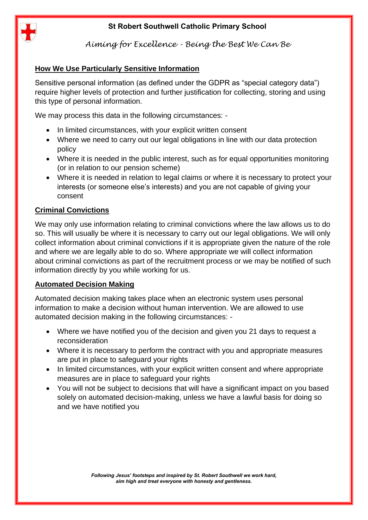

*Aiming for Excellence - Being the Best We Can Be*

### **How We Use Particularly Sensitive Information**

Sensitive personal information (as defined under the GDPR as "special category data") require higher levels of protection and further justification for collecting, storing and using this type of personal information.

We may process this data in the following circumstances: -

- In limited circumstances, with your explicit written consent
- Where we need to carry out our legal obligations in line with our data protection policy
- Where it is needed in the public interest, such as for equal opportunities monitoring (or in relation to our pension scheme)
- Where it is needed in relation to legal claims or where it is necessary to protect your interests (or someone else's interests) and you are not capable of giving your consent

#### **Criminal Convictions**

We may only use information relating to criminal convictions where the law allows us to do so. This will usually be where it is necessary to carry out our legal obligations. We will only collect information about criminal convictions if it is appropriate given the nature of the role and where we are legally able to do so. Where appropriate we will collect information about criminal convictions as part of the recruitment process or we may be notified of such information directly by you while working for us.

#### **Automated Decision Making**

Automated decision making takes place when an electronic system uses personal information to make a decision without human intervention. We are allowed to use automated decision making in the following circumstances: -

- Where we have notified you of the decision and given you 21 days to request a reconsideration
- Where it is necessary to perform the contract with you and appropriate measures are put in place to safeguard your rights
- In limited circumstances, with your explicit written consent and where appropriate measures are in place to safeguard your rights
- You will not be subject to decisions that will have a significant impact on you based solely on automated decision-making, unless we have a lawful basis for doing so and we have notified you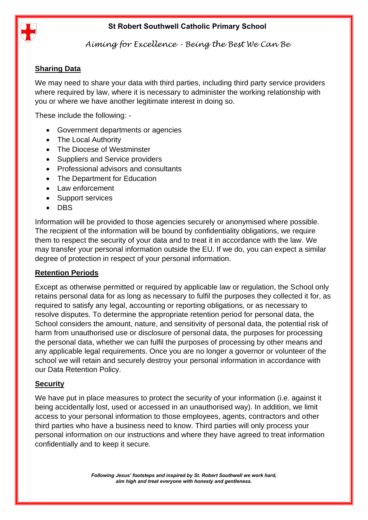

*Aiming for Excellence - Being the Best We Can Be*

## **Sharing Data**

We may need to share your data with third parties, including third party service providers where required by law, where it is necessary to administer the working relationship with you or where we have another legitimate interest in doing so.

These include the following: -

- Government departments or agencies
- The Local Authority
- The Diocese of Westminster
- Suppliers and Service providers
- Professional advisors and consultants
- The Department for Education
- Law enforcement
- Support services
- DBS

Information will be provided to those agencies securely or anonymised where possible. The recipient of the information will be bound by confidentiality obligations, we require them to respect the security of your data and to treat it in accordance with the law. We may transfer your personal information outside the EU. If we do, you can expect a similar degree of protection in respect of your personal information.

### **Retention Periods**

Except as otherwise permitted or required by applicable law or regulation, the School only retains personal data for as long as necessary to fulfil the purposes they collected it for, as required to satisfy any legal, accounting or reporting obligations, or as necessary to resolve disputes. To determine the appropriate retention period for personal data, the School considers the amount, nature, and sensitivity of personal data, the potential risk of harm from unauthorised use or disclosure of personal data, the purposes for processing the personal data, whether we can fulfil the purposes of processing by other means and any applicable legal requirements. Once you are no longer a governor or volunteer of the school we will retain and securely destroy your personal information in accordance with our Data Retention Policy.

### **Security**

We have put in place measures to protect the security of your information (i.e. against it being accidentally lost, used or accessed in an unauthorised way). In addition, we limit access to your personal information to those employees, agents, contractors and other third parties who have a business need to know. Third parties will only process your personal information on our instructions and where they have agreed to treat information confidentially and to keep it secure.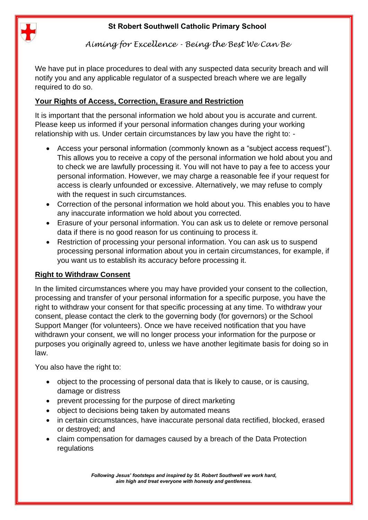

*Aiming for Excellence - Being the Best We Can Be*

We have put in place procedures to deal with any suspected data security breach and will notify you and any applicable regulator of a suspected breach where we are legally required to do so.

# **Your Rights of Access, Correction, Erasure and Restriction**

It is important that the personal information we hold about you is accurate and current. Please keep us informed if your personal information changes during your working relationship with us. Under certain circumstances by law you have the right to: -

- Access your personal information (commonly known as a "subject access request"). This allows you to receive a copy of the personal information we hold about you and to check we are lawfully processing it. You will not have to pay a fee to access your personal information. However, we may charge a reasonable fee if your request for access is clearly unfounded or excessive. Alternatively, we may refuse to comply with the request in such circumstances.
- Correction of the personal information we hold about you. This enables you to have any inaccurate information we hold about you corrected.
- Erasure of your personal information. You can ask us to delete or remove personal data if there is no good reason for us continuing to process it.
- Restriction of processing your personal information. You can ask us to suspend processing personal information about you in certain circumstances, for example, if you want us to establish its accuracy before processing it.

### **Right to Withdraw Consent**

In the limited circumstances where you may have provided your consent to the collection, processing and transfer of your personal information for a specific purpose, you have the right to withdraw your consent for that specific processing at any time. To withdraw your consent, please contact the clerk to the governing body (for governors) or the School Support Manger (for volunteers). Once we have received notification that you have withdrawn your consent, we will no longer process your information for the purpose or purposes you originally agreed to, unless we have another legitimate basis for doing so in law.

You also have the right to:

- object to the processing of personal data that is likely to cause, or is causing, damage or distress
- prevent processing for the purpose of direct marketing
- object to decisions being taken by automated means
- in certain circumstances, have inaccurate personal data rectified, blocked, erased or destroyed; and
- claim compensation for damages caused by a breach of the Data Protection regulations